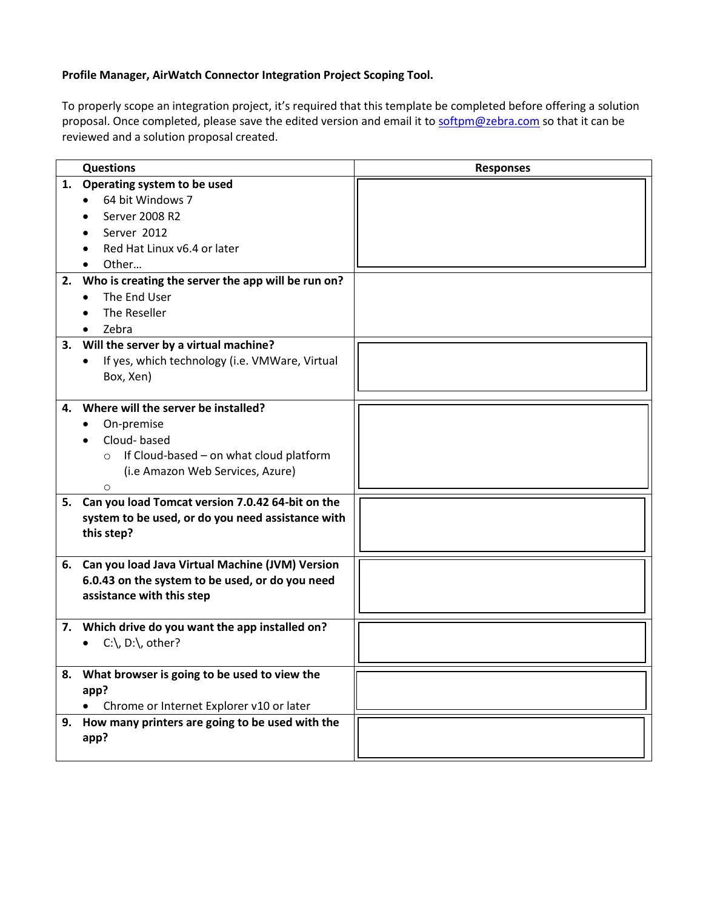## **Profile Manager, AirWatch Connector Integration Project Scoping Tool.**

To properly scope an integration project, it's required that this template be completed before offering a solution proposal. Once completed, please save the edited version and email it to [softpm@zebra.com](mailto:softpm@zebra.com) so that it can be reviewed and a solution proposal created.

|    | <b>Questions</b>                                    | <b>Responses</b> |
|----|-----------------------------------------------------|------------------|
|    | 1. Operating system to be used                      |                  |
|    | 64 bit Windows 7                                    |                  |
|    | Server 2008 R2                                      |                  |
|    | Server 2012                                         |                  |
|    | Red Hat Linux v6.4 or later                         |                  |
|    | Other                                               |                  |
| 2. | Who is creating the server the app will be run on?  |                  |
|    | The End User                                        |                  |
|    | The Reseller                                        |                  |
|    | Zebra                                               |                  |
| 3. | Will the server by a virtual machine?               |                  |
|    | If yes, which technology (i.e. VMWare, Virtual      |                  |
|    | Box, Xen)                                           |                  |
|    |                                                     |                  |
| 4. | Where will the server be installed?                 |                  |
|    | On-premise                                          |                  |
|    | Cloud-based                                         |                  |
|    | If Cloud-based - on what cloud platform<br>$\circ$  |                  |
|    | (i.e Amazon Web Services, Azure)                    |                  |
|    | $\circ$                                             |                  |
|    | 5. Can you load Tomcat version 7.0.42 64-bit on the |                  |
|    | system to be used, or do you need assistance with   |                  |
|    | this step?                                          |                  |
|    |                                                     |                  |
|    | 6. Can you load Java Virtual Machine (JVM) Version  |                  |
|    | 6.0.43 on the system to be used, or do you need     |                  |
|    | assistance with this step                           |                  |
|    |                                                     |                  |
|    | 7. Which drive do you want the app installed on?    |                  |
|    | $C:\setminus D:\setminus o$ other?<br>$\bullet$     |                  |
|    |                                                     |                  |
|    | 8. What browser is going to be used to view the     |                  |
|    | app?                                                |                  |
|    | Chrome or Internet Explorer v10 or later            |                  |
|    | 9. How many printers are going to be used with the  |                  |
|    | app?                                                |                  |
|    |                                                     |                  |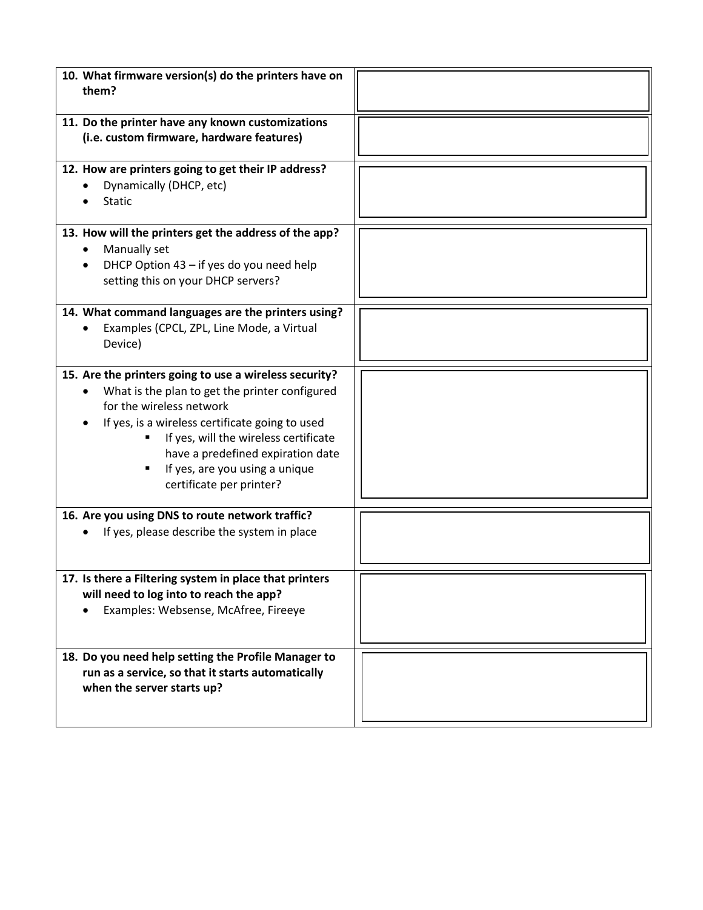| 10. What firmware version(s) do the printers have on<br>them?                                                                                                                                                                                                                                                                            |  |
|------------------------------------------------------------------------------------------------------------------------------------------------------------------------------------------------------------------------------------------------------------------------------------------------------------------------------------------|--|
| 11. Do the printer have any known customizations<br>(i.e. custom firmware, hardware features)                                                                                                                                                                                                                                            |  |
| 12. How are printers going to get their IP address?<br>Dynamically (DHCP, etc)<br><b>Static</b>                                                                                                                                                                                                                                          |  |
| 13. How will the printers get the address of the app?<br>Manually set<br>DHCP Option 43 - if yes do you need help<br>setting this on your DHCP servers?                                                                                                                                                                                  |  |
| 14. What command languages are the printers using?<br>Examples (CPCL, ZPL, Line Mode, a Virtual<br>Device)                                                                                                                                                                                                                               |  |
| 15. Are the printers going to use a wireless security?<br>What is the plan to get the printer configured<br>for the wireless network<br>If yes, is a wireless certificate going to used<br>If yes, will the wireless certificate<br>have a predefined expiration date<br>If yes, are you using a unique<br>Е<br>certificate per printer? |  |
| 16. Are you using DNS to route network traffic?<br>If yes, please describe the system in place                                                                                                                                                                                                                                           |  |
| 17. Is there a Filtering system in place that printers<br>will need to log into to reach the app?<br>Examples: Websense, McAfree, Fireeye                                                                                                                                                                                                |  |
| 18. Do you need help setting the Profile Manager to<br>run as a service, so that it starts automatically<br>when the server starts up?                                                                                                                                                                                                   |  |